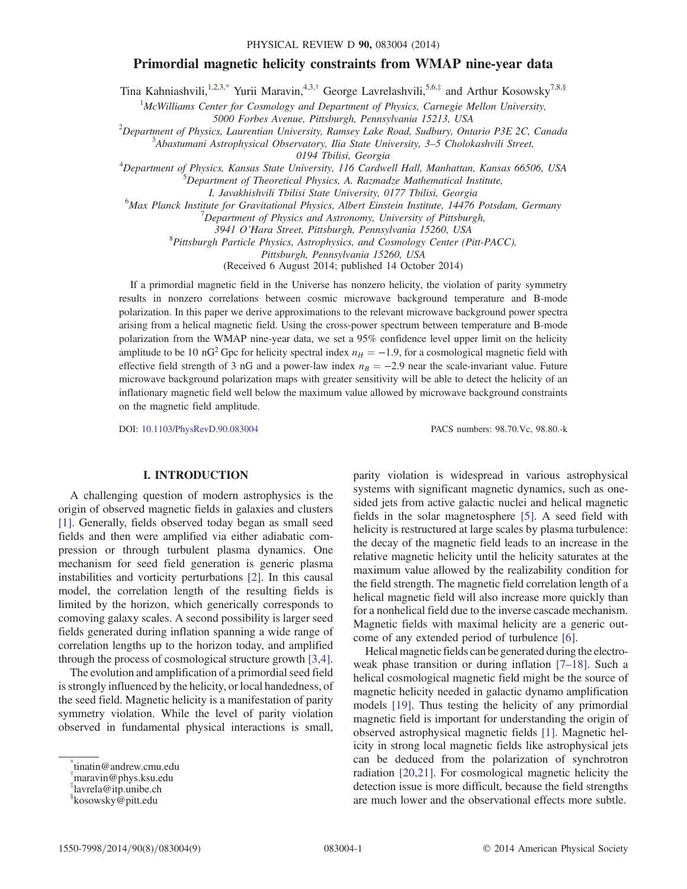### Primordial magnetic helicity constraints from WMAP nine-year data

<span id="page-0-4"></span>Tina Kahniashvili,<sup>1,2,[3,\\*](#page-0-0)</sup> Yurii Maravin,<sup>4,3,[†](#page-0-1)</sup> George Lavrelashvili,<sup>5,6,[‡](#page-0-2)</sup> and Arthur Kosowsky<sup>7,8[,§](#page-0-3)</sup>

 $1$ McWilliams Center for Cosmology and Department of Physics, Carnegie Mellon University,

5000 Forbes Avenue, Pittsburgh, Pennsylvania 15213, USA<br><sup>2</sup>Department of Physics, Laurantian University, Pamsay Lake Boad, Sudhum, Ont

Department of Physics, Laurentian University, Ramsey Lake Road, Sudbury, Ontario P3E 2C, Canada<br>3 Abastumani Astrophysical Observatory, Ilia State University, 3,5 Cholokashvili Street

 $A$ bastumani Astrophysical Observatory, Ilia State University,  $3-5$  Cholokashvili Street,

0194 Tbilisi, Georgia<br><sup>4</sup>Department of Physics, Kansas State University, 116 Cardwe Department of Physics, Kansas State University, 116 Cardwell Hall, Manhattan, Kansas 66506, USA<br>5 Department of Theoretical Physics, A. Parmadze Mathematical Institute  ${}^{5}$ Department of Theoretical Physics, A. Razmadze Mathematical Institute,

I. Javakhishvili Tbilisi State University, 0177 Tbilisi, Georgia<br><sup>6</sup>Max Planek Institute for Cravitational Physics, Albert Finstein Institute, 14476 Max Planck Institute for Gravitational Physics, Albert Einstein Institute, 14476 Potsdam, Germany<br><sup>7</sup> Danastment of Physics and Astronomy University of Pittsburgh

 $\Delta$ Department of Physics and Astronomy, University of Pittsburgh,

3941 O'Hara Street, Pittsburgh, Pennsylvania 15260, USA <sup>8</sup>

 ${}^{8}$ Pittsburgh Particle Physics, Astrophysics, and Cosmology Center (Pitt-PACC),

Pittsburgh, Pennsylvania 15260, USA

(Received 6 August 2014; published 14 October 2014)

If a primordial magnetic field in the Universe has nonzero helicity, the violation of parity symmetry results in nonzero correlations between cosmic microwave background temperature and B-mode polarization. In this paper we derive approximations to the relevant microwave background power spectra arising from a helical magnetic field. Using the cross-power spectrum between temperature and B-mode polarization from the WMAP nine-year data, we set a 95% confidence level upper limit on the helicity amplitude to be 10 nG<sup>2</sup> Gpc for helicity spectral index  $n_H = -1.9$ , for a cosmological magnetic field with effective field strength of 3 nG and a power-law index  $n_B = -2.9$  near the scale-invariant value. Future microwave background polarization maps with greater sensitivity will be able to detect the helicity of an inflationary magnetic field well below the maximum value allowed by microwave background constraints on the magnetic field amplitude.

DOI: [10.1103/PhysRevD.90.083004](http://dx.doi.org/10.1103/PhysRevD.90.083004) PACS numbers: 98.70.Vc, 98.80.-k

## I. INTRODUCTION

A challenging question of modern astrophysics is the origin of observed magnetic fields in galaxies and clusters [\[1\]](#page-7-0). Generally, fields observed today began as small seed fields and then were amplified via either adiabatic compression or through turbulent plasma dynamics. One mechanism for seed field generation is generic plasma instabilities and vorticity perturbations [\[2\].](#page-7-1) In this causal model, the correlation length of the resulting fields is limited by the horizon, which generically corresponds to comoving galaxy scales. A second possibility is larger seed fields generated during inflation spanning a wide range of correlation lengths up to the horizon today, and amplified through the process of cosmological structure growth [\[3,4\]](#page-7-2).

The evolution and amplification of a primordial seed field is strongly influenced by the helicity, or local handedness, of the seed field. Magnetic helicity is a manifestation of parity symmetry violation. While the level of parity violation observed in fundamental physical interactions is small,

parity violation is widespread in various astrophysical systems with significant magnetic dynamics, such as onesided jets from active galactic nuclei and helical magnetic fields in the solar magnetosphere [\[5\]](#page-7-3). A seed field with helicity is restructured at large scales by plasma turbulence: the decay of the magnetic field leads to an increase in the relative magnetic helicity until the helicity saturates at the maximum value allowed by the realizability condition for the field strength. The magnetic field correlation length of a helical magnetic field will also increase more quickly than for a nonhelical field due to the inverse cascade mechanism. Magnetic fields with maximal helicity are a generic outcome of any extended period of turbulence [\[6\].](#page-7-4)

Helical magnetic fields can be generated during the electroweak phase transition or during inflation [7–[18\]](#page-7-5). Such a helical cosmological magnetic field might be the source of magnetic helicity needed in galactic dynamo amplification models [\[19\].](#page-7-6) Thus testing the helicity of any primordial magnetic field is important for understanding the origin of observed astrophysical magnetic fields [\[1\].](#page-7-0) Magnetic helicity in strong local magnetic fields like astrophysical jets can be deduced from the polarization of synchrotron radiation [\[20,21\]](#page-7-7). For cosmological magnetic helicity the detection issue is more difficult, because the field strengths are much lower and the observational effects more subtle.

<span id="page-0-0"></span>[<sup>\\*</sup>](#page-0-4) tinatin@andrew.cmu.edu

<span id="page-0-1"></span>[<sup>†</sup>](#page-0-4) maravin@phys.ksu.edu

<span id="page-0-2"></span>[<sup>‡</sup>](#page-0-4) lavrela@itp.unibe.ch

<span id="page-0-3"></span>[<sup>§</sup>](#page-0-4) kosowsky@pitt.edu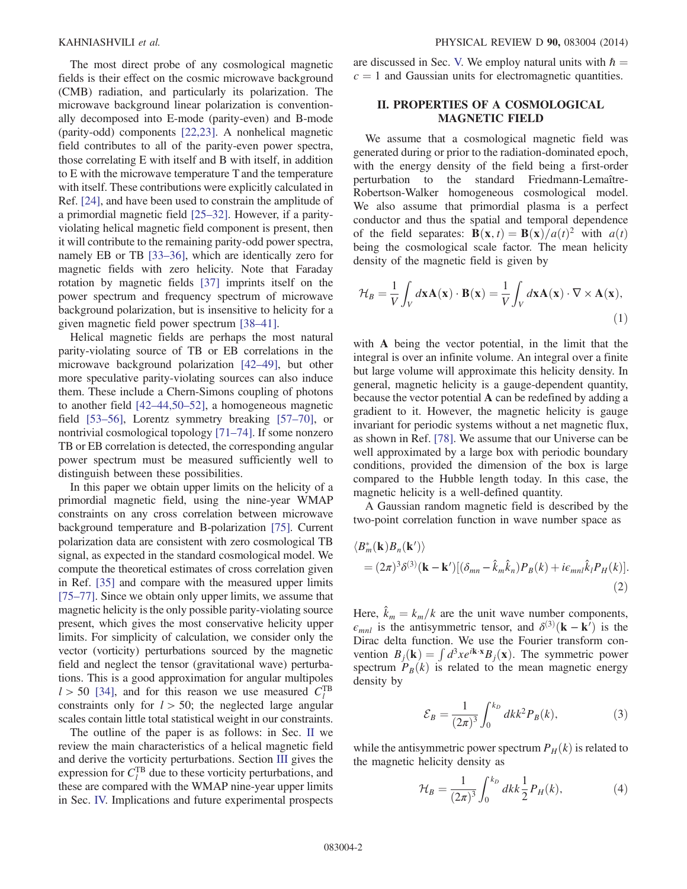The most direct probe of any cosmological magnetic fields is their effect on the cosmic microwave background (CMB) radiation, and particularly its polarization. The microwave background linear polarization is conventionally decomposed into E-mode (parity-even) and B-mode (parity-odd) components [\[22,23\].](#page-7-8) A nonhelical magnetic field contributes to all of the parity-even power spectra, those correlating E with itself and B with itself, in addition to E with the microwave temperature T and the temperature with itself. These contributions were explicitly calculated in Ref. [\[24\]](#page-7-9), and have been used to constrain the amplitude of a primordial magnetic field [\[25](#page-7-10)–32]. However, if a parityviolating helical magnetic field component is present, then it will contribute to the remaining parity-odd power spectra, namely EB or TB [\[33](#page-7-11)–36], which are identically zero for magnetic fields with zero helicity. Note that Faraday rotation by magnetic fields [\[37\]](#page-7-12) imprints itself on the power spectrum and frequency spectrum of microwave background polarization, but is insensitive to helicity for a given magnetic field power spectrum [38–[41\].](#page-7-13)

Helical magnetic fields are perhaps the most natural parity-violating source of TB or EB correlations in the microwave background polarization [42–[49\],](#page-7-14) but other more speculative parity-violating sources can also induce them. These include a Chern-Simons coupling of photons to another field [42–[44,50](#page-7-14)–52], a homogeneous magnetic field [53–[56\],](#page-8-0) Lorentz symmetry breaking [57–[70\],](#page-8-1) or nontrivial cosmological topology [71–[74\].](#page-8-2) If some nonzero TB or EB correlation is detected, the corresponding angular power spectrum must be measured sufficiently well to distinguish between these possibilities.

In this paper we obtain upper limits on the helicity of a primordial magnetic field, using the nine-year WMAP constraints on any cross correlation between microwave background temperature and B-polarization [\[75\].](#page-8-3) Current polarization data are consistent with zero cosmological TB signal, as expected in the standard cosmological model. We compute the theoretical estimates of cross correlation given in Ref. [\[35\]](#page-7-15) and compare with the measured upper limits [75–[77\].](#page-8-3) Since we obtain only upper limits, we assume that magnetic helicity is the only possible parity-violating source present, which gives the most conservative helicity upper limits. For simplicity of calculation, we consider only the vector (vorticity) perturbations sourced by the magnetic field and neglect the tensor (gravitational wave) perturbations. This is a good approximation for angular multipoles  $l > 50$  [\[34\],](#page-7-16) and for this reason we use measured  $C_l^{\text{TB}}$ constraints only for  $l > 50$ ; the neglected large angular scales contain little total statistical weight in our constraints.

The outline of the paper is as follows: in Sec. [II](#page-1-0) we review the main characteristics of a helical magnetic field and derive the vorticity perturbations. Section [III](#page-2-0) gives the expression for  $C_l^{\text{TB}}$  due to these vorticity perturbations, and these are compared with the WMAP nine-year upper limits in Sec. [IV.](#page-4-0) Implications and future experimental prospects are discussed in Sec. [V.](#page-5-0) We employ natural units with  $\hbar =$  $c = 1$  and Gaussian units for electromagnetic quantities.

## <span id="page-1-0"></span>II. PROPERTIES OF A COSMOLOGICAL MAGNETIC FIELD

We assume that a cosmological magnetic field was generated during or prior to the radiation-dominated epoch, with the energy density of the field being a first-order perturbation to the standard Friedmann-Lemaître-Robertson-Walker homogeneous cosmological model. We also assume that primordial plasma is a perfect conductor and thus the spatial and temporal dependence of the field separates:  $\mathbf{B}(\mathbf{x}, t) = \mathbf{B}(\mathbf{x})/a(t)^2$  with  $a(t)$ being the cosmological scale factor. The mean helicity density of the magnetic field is given by

$$
\mathcal{H}_B = \frac{1}{V} \int_V d\mathbf{x} \mathbf{A}(\mathbf{x}) \cdot \mathbf{B}(\mathbf{x}) = \frac{1}{V} \int_V d\mathbf{x} \mathbf{A}(\mathbf{x}) \cdot \nabla \times \mathbf{A}(\mathbf{x}),
$$
\n(1)

with A being the vector potential, in the limit that the integral is over an infinite volume. An integral over a finite but large volume will approximate this helicity density. In general, magnetic helicity is a gauge-dependent quantity, because the vector potential A can be redefined by adding a gradient to it. However, the magnetic helicity is gauge invariant for periodic systems without a net magnetic flux, as shown in Ref. [\[78\]](#page-8-4). We assume that our Universe can be well approximated by a large box with periodic boundary conditions, provided the dimension of the box is large compared to the Hubble length today. In this case, the magnetic helicity is a well-defined quantity.

<span id="page-1-1"></span>A Gaussian random magnetic field is described by the two-point correlation function in wave number space as

$$
\langle B_m^*(\mathbf{k})B_n(\mathbf{k}')\rangle
$$
  
=  $(2\pi)^3 \delta^{(3)}(\mathbf{k} - \mathbf{k}')[(\delta_{mn} - \hat{k}_m \hat{k}_n)P_B(k) + i\epsilon_{mnl}\hat{k}_l P_H(k)].$  (2)

Here,  $\hat{k}_m = k_m/k$  are the unit wave number components,  $\epsilon_{mnl}$  is the antisymmetric tensor, and  $\delta^{(3)}({\bf k} - {\bf k}')$  is the Dirac delta function. We use the Fourier transform convention  $B_j(\mathbf{k}) = \int d^3x e^{i\mathbf{k} \cdot \mathbf{x}} B_j(\mathbf{x})$ . The symmetric power spectrum  $P_B(k)$  is related to the mean magnetic energy density by

$$
\mathcal{E}_B = \frac{1}{(2\pi)^3} \int_0^{k_D} dk k^2 P_B(k),\tag{3}
$$

while the antisymmetric power spectrum  $P_H(k)$  is related to the magnetic helicity density as

$$
\mathcal{H}_B = \frac{1}{(2\pi)^3} \int_0^{k_D} dk k \frac{1}{2} P_H(k), \tag{4}
$$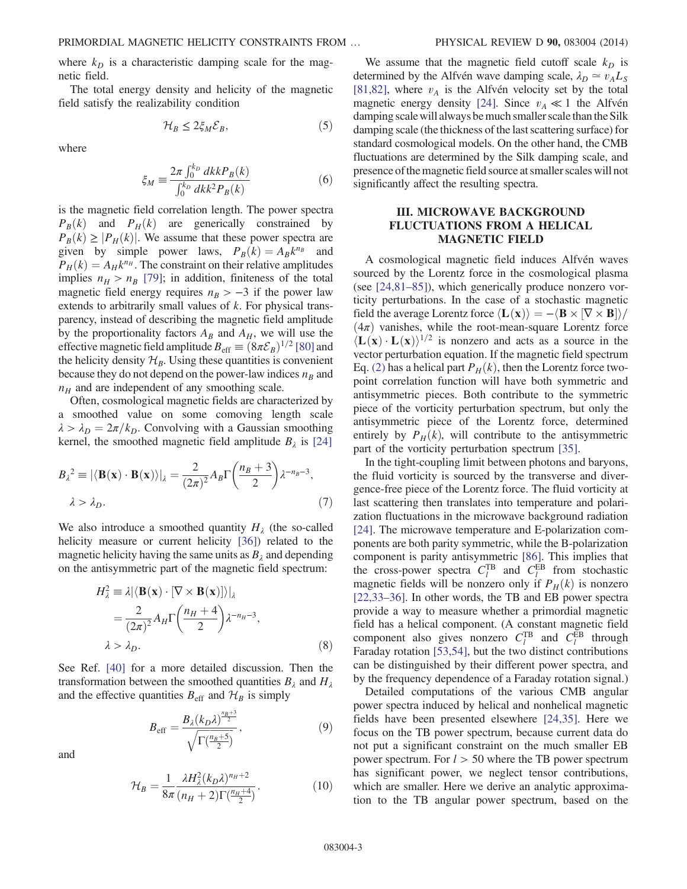where  $k_D$  is a characteristic damping scale for the magnetic field.

<span id="page-2-1"></span>The total energy density and helicity of the magnetic field satisfy the realizability condition

$$
\mathcal{H}_B \le 2\xi_M \mathcal{E}_B,\tag{5}
$$

where

$$
\xi_M \equiv \frac{2\pi \int_0^{k_D} dk k P_B(k)}{\int_0^{k_D} dk k^2 P_B(k)}\tag{6}
$$

is the magnetic field correlation length. The power spectra  $P_B(k)$  and  $P_H(k)$  are generically constrained by  $P_B(k) \geq |P_H(k)|$ . We assume that these power spectra are given by simple power laws,  $P_B(k) = A_B k^{n_B}$  and  $P_H(k) = A_H k^{n_H}$ . The constraint on their relative amplitudes implies  $n_H > n_B$  [\[79\];](#page-8-5) in addition, finiteness of the total magnetic field energy requires  $n_B > -3$  if the power law extends to arbitrarily small values of k. For physical transparency, instead of describing the magnetic field amplitude by the proportionality factors  $A_B$  and  $A_H$ , we will use the effective magnetic field amplitude  $B_{\text{eff}} \equiv (8\pi \mathcal{E}_B)^{1/2}$  [\[80\]](#page-8-6) and the helicity density  $\mathcal{H}_B$ . Using these quantities is convenient because they do not depend on the power-law indices  $n_B$  and  $n_H$  and are independent of any smoothing scale.

Often, cosmological magnetic fields are characterized by a smoothed value on some comoving length scale  $\lambda > \lambda_D = 2\pi/k_D$ . Convolving with a Gaussian smoothing kernel, the smoothed magnetic field amplitude  $B_{\lambda}$  is [\[24\]](#page-7-9)

$$
B_{\lambda}^{2} \equiv |\langle \mathbf{B}(\mathbf{x}) \cdot \mathbf{B}(\mathbf{x}) \rangle|_{\lambda} = \frac{2}{(2\pi)^{2}} A_{B} \Gamma\left(\frac{n_{B} + 3}{2}\right) \lambda^{-n_{B} - 3},
$$
  

$$
\lambda > \lambda_{D}.
$$
 (7)

We also introduce a smoothed quantity  $H<sub>\lambda</sub>$  (the so-called helicity measure or current helicity [\[36\]](#page-7-17)) related to the magnetic helicity having the same units as  $B_\lambda$  and depending on the antisymmetric part of the magnetic field spectrum:

$$
H_{\lambda}^{2} \equiv \lambda |\langle \mathbf{B}(\mathbf{x}) \cdot [\nabla \times \mathbf{B}(\mathbf{x})] \rangle|_{\lambda}
$$
  
=  $\frac{2}{(2\pi)^{2}} A_{H} \Gamma \left( \frac{n_{H} + 4}{2} \right) \lambda^{-n_{H} - 3},$   
 $\lambda > \lambda_{D}.$  (8)

See Ref. [\[40\]](#page-7-18) for a more detailed discussion. Then the transformation between the smoothed quantities  $B_\lambda$  and  $H_\lambda$ and the effective quantities  $B_{\text{eff}}$  and  $\mathcal{H}_B$  is simply

$$
B_{\rm eff} = \frac{B_{\lambda}(k_D \lambda)^{\frac{n_B+3}{2}}}{\sqrt{\Gamma(\frac{n_B+5}{2})}},\tag{9}
$$

and

$$
\mathcal{H}_B = \frac{1}{8\pi} \frac{\lambda H_\lambda^2 (k_D \lambda)^{n_H + 2}}{(n_H + 2) \Gamma(\frac{n_H + 4}{2})}.
$$
 (10)

We assume that the magnetic field cutoff scale  $k_D$  is determined by the Alfvén wave damping scale,  $\lambda_D \approx v_A L_S$ [\[81,82\],](#page-8-7) where  $v_A$  is the Alfvén velocity set by the total magnetic energy density [\[24\].](#page-7-9) Since  $v_A \ll 1$  the Alfvén damping scale will always be much smaller scale than the Silk damping scale (the thickness of the last scattering surface) for standard cosmological models. On the other hand, the CMB fluctuations are determined by the Silk damping scale, and presence of the magnetic field source at smaller scales will not significantly affect the resulting spectra.

#### <span id="page-2-0"></span>III. MICROWAVE BACKGROUND FLUCTUATIONS FROM A HELICAL MAGNETIC FIELD

A cosmological magnetic field induces Alfvén waves sourced by the Lorentz force in the cosmological plasma (see [\[24,81](#page-7-9)–85]), which generically produce nonzero vorticity perturbations. In the case of a stochastic magnetic field the average Lorentz force  $\langle L(x) \rangle = -\langle B \times [\nabla \times B] \rangle /$  $(4\pi)$  vanishes, while the root-mean-square Lorentz force  $\langle L(x) \cdot L(x) \rangle^{1/2}$  is nonzero and acts as a source in the vector perturbation equation. If the magnetic field spectrum Eq. [\(2\)](#page-1-1) has a helical part  $P_H(k)$ , then the Lorentz force twopoint correlation function will have both symmetric and antisymmetric pieces. Both contribute to the symmetric piece of the vorticity perturbation spectrum, but only the antisymmetric piece of the Lorentz force, determined entirely by  $P_H(k)$ , will contribute to the antisymmetric part of the vorticity perturbation spectrum [\[35\].](#page-7-15)

In the tight-coupling limit between photons and baryons, the fluid vorticity is sourced by the transverse and divergence-free piece of the Lorentz force. The fluid vorticity at last scattering then translates into temperature and polarization fluctuations in the microwave background radiation [\[24\]](#page-7-9). The microwave temperature and E-polarization components are both parity symmetric, while the B-polarization component is parity antisymmetric [\[86\].](#page-8-8) This implies that the cross-power spectra  $C_l^{\text{TB}}$  and  $C_l^{\text{EB}}$  from stochastic magnetic fields will be nonzero only if  $P_H(k)$  is nonzero [\[22,33](#page-7-8)–36]. In other words, the TB and EB power spectra provide a way to measure whether a primordial magnetic field has a helical component. (A constant magnetic field component also gives nonzero  $C_l^{\text{TB}}$  and  $C_l^{\text{EB}}$  through Faraday rotation [\[53,54\],](#page-8-0) but the two distinct contributions can be distinguished by their different power spectra, and by the frequency dependence of a Faraday rotation signal.)

Detailed computations of the various CMB angular power spectra induced by helical and nonhelical magnetic fields have been presented elsewhere [\[24,35\].](#page-7-9) Here we focus on the TB power spectrum, because current data do not put a significant constraint on the much smaller EB power spectrum. For  $l > 50$  where the TB power spectrum has significant power, we neglect tensor contributions, which are smaller. Here we derive an analytic approximation to the TB angular power spectrum, based on the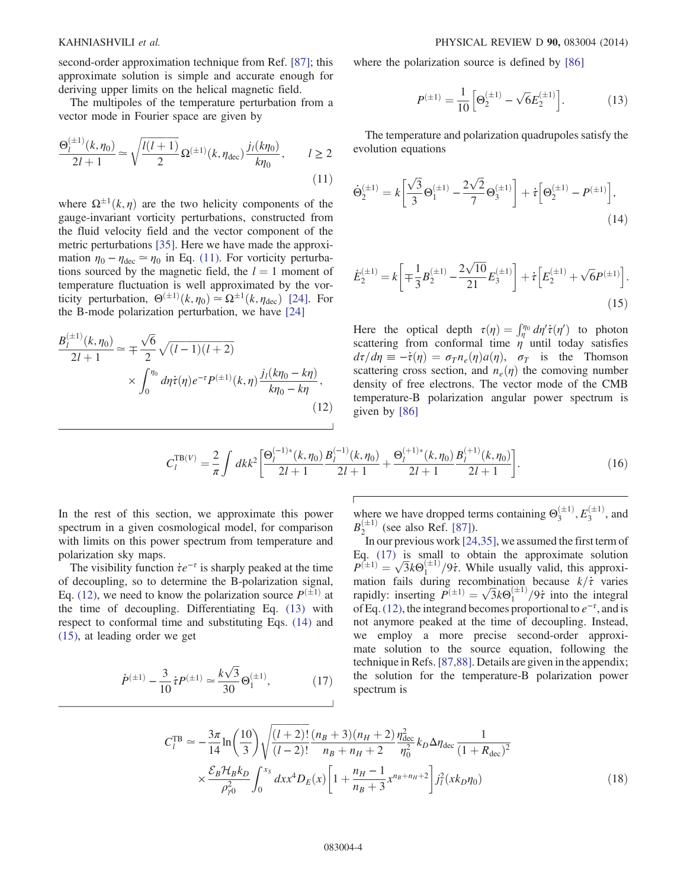second-order approximation technique from Ref. [\[87\]](#page-8-9); this approximate solution is simple and accurate enough for deriving upper limits on the helical magnetic field.

<span id="page-3-0"></span>The multipoles of the temperature perturbation from a vector mode in Fourier space are given by

$$
\frac{\Theta_l^{(\pm 1)}(k, \eta_0)}{2l+1} \simeq \sqrt{\frac{l(l+1)}{2}} \Omega^{(\pm 1)}(k, \eta_{\text{dec}}) \frac{j_l(k\eta_0)}{k\eta_0}, \qquad l \ge 2
$$
\n(11)

where  $\Omega^{\pm 1}(k, \eta)$  are the two helicity components of the gauge-invariant vorticity perturbations, constructed from the fluid velocity field and the vector component of the metric perturbations [\[35\].](#page-7-15) Here we have made the approximation  $\eta_0 - \eta_{\text{dec}} \simeq \eta_0$  in Eq. [\(11\)](#page-3-0). For vorticity perturbations sourced by the magnetic field, the  $l = 1$  moment of temperature fluctuation is well approximated by the vorticity perturbation,  $\Theta^{(\pm 1)}(k, \eta_0) \simeq \Omega^{\pm 1}(k, \eta_{\text{dec}})$  [\[24\].](#page-7-9) For the B-mode polarization perturbation, we have [\[24\]](#page-7-9)

<span id="page-3-1"></span>
$$
\frac{B_l^{(\pm 1)}(k, \eta_0)}{2l+1} \simeq \mp \frac{\sqrt{6}}{2} \sqrt{(l-1)(l+2)} \times \int_0^{\eta_0} d\eta \dot{\tau}(\eta) e^{-\tau} P^{(\pm 1)}(k, \eta) \frac{j_l(k\eta_0 - k\eta)}{k\eta_0 - k\eta},
$$
\n(12)

<span id="page-3-2"></span>where the polarization source is defined by [\[86\]](#page-8-8)

$$
P^{(\pm 1)} = \frac{1}{10} \left[ \Theta_2^{(\pm 1)} - \sqrt{6} E_2^{(\pm 1)} \right]. \tag{13}
$$

<span id="page-3-3"></span>The temperature and polarization quadrupoles satisfy the evolution equations

<span id="page-3-4"></span>
$$
\dot{\Theta}_2^{(\pm 1)} = k \left[ \frac{\sqrt{3}}{3} \Theta_1^{(\pm 1)} - \frac{2\sqrt{2}}{7} \Theta_3^{(\pm 1)} \right] + \dot{\tau} \left[ \Theta_2^{(\pm 1)} - P^{(\pm 1)} \right],\tag{14}
$$

$$
\dot{E}_{2}^{(\pm 1)} = k \left[ \mp \frac{1}{3} B_{2}^{(\pm 1)} - \frac{2\sqrt{10}}{21} E_{3}^{(\pm 1)} \right] + \dot{\tau} \left[ E_{2}^{(\pm 1)} + \sqrt{6} P^{(\pm 1)} \right].
$$
\n(15)

Here the optical depth  $\tau(\eta) = \int_{\eta}^{\eta_0} d\eta' \dot{\tau}(\eta')$  to photon scattering from conformal time  $\eta$  until today satisfies  $d\tau/d\eta \equiv -\dot{\tau}(\eta) = \sigma_T n_e(\eta)a(\eta)$ ,  $\sigma_T$  is the Thomson scattering cross section, and  $n_e(\eta)$  the comoving number density of free electrons. The vector mode of the CMB temperature-B polarization angular power spectrum is given by [\[86\]](#page-8-8)

$$
C_l^{\text{TB}(V)} = \frac{2}{\pi} \int dk k^2 \left[ \frac{\Theta_l^{(-1)*}(k, \eta_0)}{2l+1} \frac{B_l^{(-1)}(k, \eta_0)}{2l+1} + \frac{\Theta_l^{(+1)*}(k, \eta_0)}{2l+1} \frac{B_l^{(+1)}(k, \eta_0)}{2l+1} \right].
$$
 (16)

In the rest of this section, we approximate this power spectrum in a given cosmological model, for comparison with limits on this power spectrum from temperature and polarization sky maps.

<span id="page-3-5"></span>The visibility function  $\dot{\tau}e^{-\tau}$  is sharply peaked at the time of decoupling, so to determine the B-polarization signal, Eq. [\(12\)](#page-3-1), we need to know the polarization source  $P^{(\pm 1)}$  at the time of decoupling. Differentiating Eq. [\(13\)](#page-3-2) with respect to conformal time and substituting Eqs. [\(14\)](#page-3-3) and [\(15\)](#page-3-4), at leading order we get

<span id="page-3-6"></span>
$$
\dot{P}^{(\pm 1)} - \frac{3}{10} \dot{\tau} P^{(\pm 1)} \simeq \frac{k\sqrt{3}}{30} \Theta_1^{(\pm 1)},\tag{17}
$$

where we have dropped terms containing  $\Theta_3^{(\pm 1)}$ ,  $E_3^{(\pm 1)}$ , and  $B_2^{(\pm 1)}$  (see also Ref. [\[87\]](#page-8-9)).

In our previous work [\[24,35\]](#page-7-9), we assumed the first term of Eq. [\(17\)](#page-3-5) is small to obtain the approximate solution  $P^{(\pm)} = \sqrt{3}k\Theta_1^{(\pm 1)}/9t$ . While usually valid, this approximation fails during recombination because  $k/\tau$  varies rapidly: inserting  $P^{(\pm 1)} = \sqrt{3k\Theta_1^{(\pm 1)}}/9\tau$  into the integral of Eq. [\(12\)](#page-3-1), the integrand becomes proportional to  $e^{-\tau}$ , and is not anymore peaked at the time of decoupling. Instead, we employ a more precise second-order approximate solution to the source equation, following the technique in Refs. [\[87,88\].](#page-8-9) Details are given in the appendix; the solution for the temperature-B polarization power spectrum is

$$
C_{l}^{\text{TB}} \simeq -\frac{3\pi}{14} \ln\left(\frac{10}{3}\right) \sqrt{\frac{(l+2)!}{(l-2)!}} \frac{(n_{B}+3)(n_{H}+2)}{n_{B}+n_{H}+2} \frac{n_{\text{dec}}^{2}}{\eta_{0}^{2}} k_{D} \Delta \eta_{\text{dec}} \frac{1}{(1+R_{\text{dec}})^{2}} \times \frac{\mathcal{E}_{B} \mathcal{H}_{B} k_{D}}{\rho_{\gamma 0}^{2}} \int_{0}^{x_{S}} dx x^{4} D_{E}(x) \left[1+\frac{n_{H}-1}{n_{B}+3} x^{n_{B}+n_{H}+2}\right] j_{l}^{2} (x k_{D} \eta_{0})
$$
\n(18)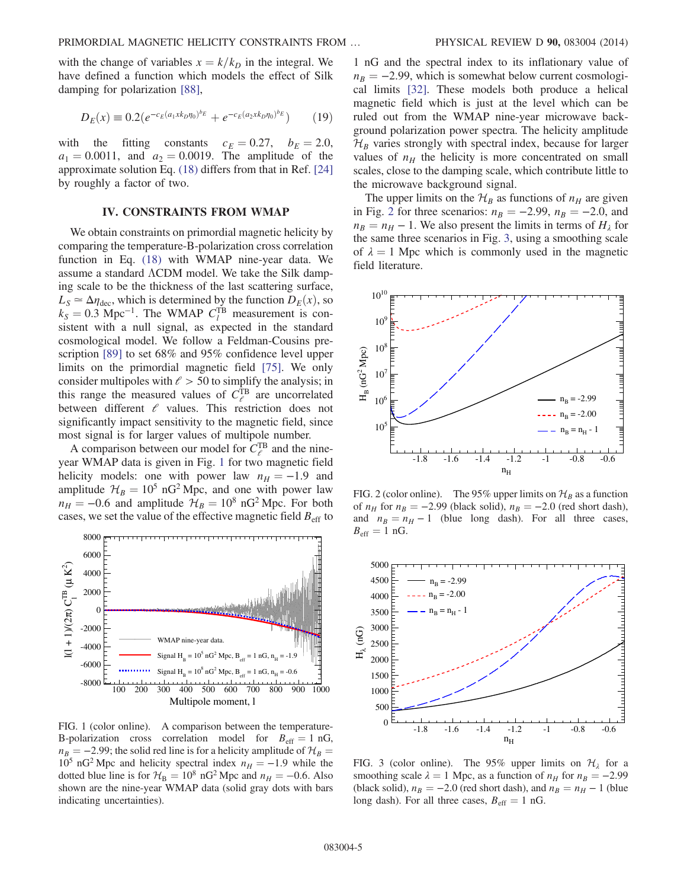<span id="page-4-4"></span>with the change of variables  $x = k/k_D$  in the integral. We have defined a function which models the effect of Silk damping for polarization [\[88\]](#page-8-10),

$$
D_E(x) \equiv 0.2(e^{-c_E(a_1x k_D \eta_0)^{b_E}} + e^{-c_E(a_2x k_D \eta_0)^{b_E}})
$$
(19)

with the fitting constants  $c_E = 0.27$ ,  $b_E = 2.0$ ,  $a_1 = 0.0011$ , and  $a_2 = 0.0019$ . The amplitude of the approximate solution Eq. [\(18\)](#page-3-6) differs from that in Ref. [\[24\]](#page-7-9) by roughly a factor of two.

#### IV. CONSTRAINTS FROM WMAP

<span id="page-4-0"></span>We obtain constraints on primordial magnetic helicity by comparing the temperature-B-polarization cross correlation function in Eq. [\(18\)](#page-3-6) with WMAP nine-year data. We assume a standard ΛCDM model. We take the Silk damping scale to be the thickness of the last scattering surface,  $L_S \simeq \Delta \eta_{\text{dec}}$ , which is determined by the function  $D_E(x)$ , so  $k_S = 0.3$  Mpc<sup>-1</sup>. The WMAP  $C_l^{\text{TB}}$  measurement is consistent with a null signal, as expected in the standard cosmological model. We follow a Feldman-Cousins prescription [\[89\]](#page-8-11) to set 68% and 95% confidence level upper limits on the primordial magnetic field [\[75\].](#page-8-3) We only consider multipoles with  $\ell > 50$  to simplify the analysis; in this range the measured values of  $C_{\ell}^{TB}$  are uncorrelated between different  $\ell$  values. This restriction does not significantly impact sensitivity to the magnetic field, since most signal is for larger values of multipole number.

A comparison between our model for  $C_{\ell}^{TB}$  and the nineyear WMAP data is given in Fig. [1](#page-4-1) for two magnetic field helicity models: one with power law  $n_H = -1.9$  and amplitude  $H_B = 10^5$  nG<sup>2</sup> Mpc, and one with power law  $n_H = -0.6$  and amplitude  $H_B = 10^8$  nG<sup>2</sup> Mpc. For both cases, we set the value of the effective magnetic field  $B_{\text{eff}}$  to

<span id="page-4-1"></span>

FIG. 1 (color online). A comparison between the temperature-B-polarization cross correlation model for  $B_{\text{eff}} = 1 \text{ nG}$ ,  $n_B = -2.99$ ; the solid red line is for a helicity amplitude of  $\mathcal{H}_B =$  $10^5$  nG<sup>2</sup> Mpc and helicity spectral index  $n_H = -1.9$  while the dotted blue line is for  $H_B = 10^8$  nG<sup>2</sup> Mpc and  $n_H = -0.6$ . Also shown are the nine-year WMAP data (solid gray dots with bars indicating uncertainties).

1 nG and the spectral index to its inflationary value of  $n_B = -2.99$ , which is somewhat below current cosmological limits [\[32\]](#page-7-19). These models both produce a helical magnetic field which is just at the level which can be ruled out from the WMAP nine-year microwave background polarization power spectra. The helicity amplitude  $\mathcal{H}_B$  varies strongly with spectral index, because for larger values of  $n_H$  the helicity is more concentrated on small scales, close to the damping scale, which contribute little to the microwave background signal.

The upper limits on the  $\mathcal{H}_B$  as functions of  $n_H$  are given in Fig. [2](#page-4-2) for three scenarios:  $n_B = -2.99$ ,  $n_B = -2.0$ , and  $n_B = n_H - 1$ . We also present the limits in terms of  $H_\lambda$  for the same three scenarios in Fig. [3,](#page-4-3) using a smoothing scale of  $\lambda = 1$  Mpc which is commonly used in the magnetic field literature.

<span id="page-4-2"></span>

FIG. 2 (color online). The 95% upper limits on  $\mathcal{H}_B$  as a function of  $n_H$  for  $n_B = -2.99$  (black solid),  $n_B = -2.0$  (red short dash), and  $n_B = n_H - 1$  (blue long dash). For all three cases,  $B_{\text{eff}} = 1 \text{ nG}.$ 

<span id="page-4-3"></span>

FIG. 3 (color online). The 95% upper limits on  $\mathcal{H}_{\lambda}$  for a smoothing scale  $\lambda = 1$  Mpc, as a function of  $n_H$  for  $n_B = -2.99$ (black solid),  $n_B = -2.0$  (red short dash), and  $n_B = n_H - 1$  (blue long dash). For all three cases,  $B_{\text{eff}} = 1 \text{ nG}$ .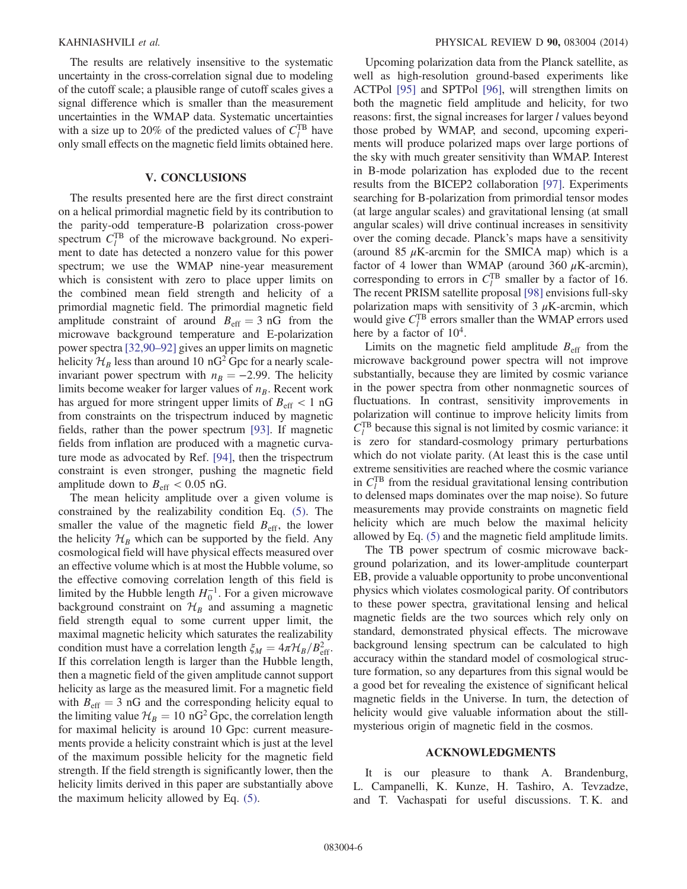The results are relatively insensitive to the systematic uncertainty in the cross-correlation signal due to modeling of the cutoff scale; a plausible range of cutoff scales gives a signal difference which is smaller than the measurement uncertainties in the WMAP data. Systematic uncertainties with a size up to 20% of the predicted values of  $C_l^{TB}$  have only small effects on the magnetic field limits obtained here.

#### V. CONCLUSIONS

<span id="page-5-0"></span>The results presented here are the first direct constraint on a helical primordial magnetic field by its contribution to the parity-odd temperature-B polarization cross-power spectrum  $C_l^{\text{TB}}$  of the microwave background. No experiment to date has detected a nonzero value for this power spectrum; we use the WMAP nine-year measurement which is consistent with zero to place upper limits on the combined mean field strength and helicity of a primordial magnetic field. The primordial magnetic field amplitude constraint of around  $B_{\text{eff}} = 3 \text{ nG}$  from the microwave background temperature and E-polarization power spectra [\[32,90](#page-7-19)–92] gives an upper limits on magnetic helicity  $\mathcal{H}_B$  less than around 10 nG<sup>2</sup> Gpc for a nearly scaleinvariant power spectrum with  $n_B = -2.99$ . The helicity limits become weaker for larger values of  $n_B$ . Recent work has argued for more stringent upper limits of  $B_{\text{eff}} < 1 \text{ nG}$ from constraints on the trispectrum induced by magnetic fields, rather than the power spectrum [\[93\]](#page-8-12). If magnetic fields from inflation are produced with a magnetic curvature mode as advocated by Ref. [\[94\],](#page-8-13) then the trispectrum constraint is even stronger, pushing the magnetic field amplitude down to  $B_{\text{eff}} < 0.05$  nG.

The mean helicity amplitude over a given volume is constrained by the realizability condition Eq. [\(5\)](#page-2-1). The smaller the value of the magnetic field  $B_{\text{eff}}$ , the lower the helicity  $\mathcal{H}_B$  which can be supported by the field. Any cosmological field will have physical effects measured over an effective volume which is at most the Hubble volume, so the effective comoving correlation length of this field is limited by the Hubble length  $H_0^{-1}$ . For a given microwave background constraint on  $\mathcal{H}_B$  and assuming a magnetic field strength equal to some current upper limit, the maximal magnetic helicity which saturates the realizability condition must have a correlation length  $\xi_M = 4\pi H_B/B_{\text{eff}}^2$ . If this correlation length is larger than the Hubble length, then a magnetic field of the given amplitude cannot support helicity as large as the measured limit. For a magnetic field with  $B_{\text{eff}} = 3$  nG and the corresponding helicity equal to the limiting value  $\mathcal{H}_B = 10 \text{ nG}^2 \text{ Gpc}$ , the correlation length for maximal helicity is around 10 Gpc: current measurements provide a helicity constraint which is just at the level of the maximum possible helicity for the magnetic field strength. If the field strength is significantly lower, then the helicity limits derived in this paper are substantially above the maximum helicity allowed by Eq. [\(5\)](#page-2-1).

Upcoming polarization data from the Planck satellite, as well as high-resolution ground-based experiments like ACTPol [\[95\]](#page-8-14) and SPTPol [\[96\]](#page-8-15), will strengthen limits on both the magnetic field amplitude and helicity, for two reasons: first, the signal increases for larger l values beyond those probed by WMAP, and second, upcoming experiments will produce polarized maps over large portions of the sky with much greater sensitivity than WMAP. Interest in B-mode polarization has exploded due to the recent results from the BICEP2 collaboration [\[97\]](#page-8-16). Experiments searching for B-polarization from primordial tensor modes (at large angular scales) and gravitational lensing (at small angular scales) will drive continual increases in sensitivity over the coming decade. Planck's maps have a sensitivity (around 85  $\mu$ K-arcmin for the SMICA map) which is a factor of 4 lower than WMAP (around 360  $\mu$ K-arcmin), corresponding to errors in  $C_l^{\text{TB}}$  smaller by a factor of 16. The recent PRISM satellite proposal [\[98\]](#page-8-17) envisions full-sky polarization maps with sensitivity of  $3 \mu$ K-arcmin, which would give  $C_l^{\text{TB}}$  errors smaller than the WMAP errors used here by a factor of  $10^4$ .

Limits on the magnetic field amplitude  $B_{\text{eff}}$  from the microwave background power spectra will not improve substantially, because they are limited by cosmic variance in the power spectra from other nonmagnetic sources of fluctuations. In contrast, sensitivity improvements in polarization will continue to improve helicity limits from  $C_l^{\text{TB}}$  because this signal is not limited by cosmic variance: it is zero for standard-cosmology primary perturbations which do not violate parity. (At least this is the case until extreme sensitivities are reached where the cosmic variance in  $C_l^{\text{TB}}$  from the residual gravitational lensing contribution to delensed maps dominates over the map noise). So future measurements may provide constraints on magnetic field helicity which are much below the maximal helicity allowed by Eq. [\(5\)](#page-2-1) and the magnetic field amplitude limits.

The TB power spectrum of cosmic microwave background polarization, and its lower-amplitude counterpart EB, provide a valuable opportunity to probe unconventional physics which violates cosmological parity. Of contributors to these power spectra, gravitational lensing and helical magnetic fields are the two sources which rely only on standard, demonstrated physical effects. The microwave background lensing spectrum can be calculated to high accuracy within the standard model of cosmological structure formation, so any departures from this signal would be a good bet for revealing the existence of significant helical magnetic fields in the Universe. In turn, the detection of helicity would give valuable information about the stillmysterious origin of magnetic field in the cosmos.

#### ACKNOWLEDGMENTS

It is our pleasure to thank A. Brandenburg, L. Campanelli, K. Kunze, H. Tashiro, A. Tevzadze, and T. Vachaspati for useful discussions. T. K. and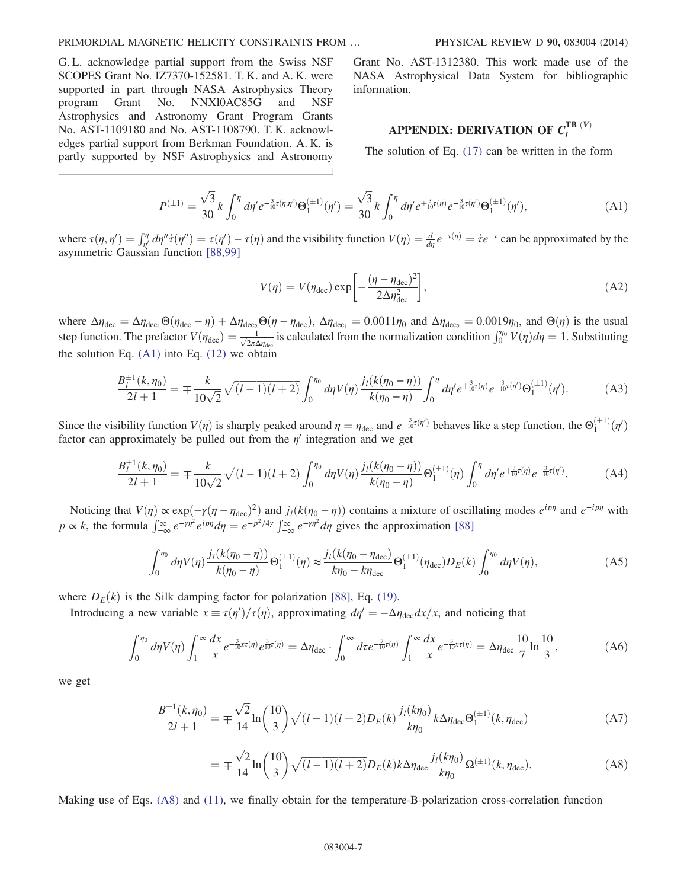G. L. acknowledge partial support from the Swiss NSF SCOPES Grant No. IZ7370-152581. T. K. and A. K. were supported in part through NASA Astrophysics Theory program Grant No. NNXl0AC85G and NSF Astrophysics and Astronomy Grant Program Grants No. AST-1109180 and No. AST-1108790. T. K. acknowledges partial support from Berkman Foundation. A. K. is partly supported by NSF Astrophysics and Astronomy Grant No. AST-1312380. This work made use of the NASA Astrophysical Data System for bibliographic information.

# APPENDIX: DERIVATION OF  $\mathit C_l^{\text{TB}\;(V)}$

The solution of Eq. [\(17\)](#page-3-5) can be written in the form

$$
P^{(\pm 1)} = \frac{\sqrt{3}}{30} k \int_0^{\eta} d\eta' e^{-\frac{3}{10}\tau(\eta,\eta')} \Theta_1^{(\pm 1)}(\eta') = \frac{\sqrt{3}}{30} k \int_0^{\eta} d\eta' e^{+\frac{3}{10}\tau(\eta)} e^{-\frac{3}{10}\tau(\eta')} \Theta_1^{(\pm 1)}(\eta'), \tag{A1}
$$

<span id="page-6-0"></span>where  $\tau(\eta, \eta') = \int_{\eta'}^{\eta} d\eta'' \dot{\tau}(\eta'') = \tau(\eta') - \tau(\eta)$  and the visibility function  $V(\eta) = \frac{d}{d\eta} e^{-\tau(\eta)} = \dot{\tau} e^{-\tau}$  can be approximated by the asymmetric Gaussian function [\[88,99\]](#page-8-10)

$$
V(\eta) = V(\eta_{\text{dec}}) \exp\left[-\frac{(\eta - \eta_{\text{dec}})^2}{2\Delta \eta_{\text{dec}}^2}\right],\tag{A2}
$$

where  $\Delta \eta_{\text{dec}} = \Delta \eta_{\text{dec}_1} \Theta(\eta_{\text{dec}} - \eta) + \Delta \eta_{\text{dec}_2} \Theta(\eta - \eta_{\text{dec}})$ ,  $\Delta \eta_{\text{dec}_1} = 0.0011 \eta_0$  and  $\Delta \eta_{\text{dec}_2} = 0.0019 \eta_0$ , and  $\Theta(\eta)$  is the usual step function. The prefactor  $V(\eta_{\text{dec}}) = \frac{1}{\sqrt{2\pi}\Delta\eta_{\text{dec}}}}$  is calculated from the normalization condition  $\int_0^{\eta_0} V(\eta) d\eta = 1$ . Substituting the solution Eq.  $(A1)$  into Eq.  $(12)$  we obtain

$$
\frac{B_l^{\pm 1}(k, \eta_0)}{2l+1} = \mp \frac{k}{10\sqrt{2}} \sqrt{(l-1)(l+2)} \int_0^{\eta_0} d\eta V(\eta) \frac{j_l(k(\eta_0 - \eta))}{k(\eta_0 - \eta)} \int_0^{\eta} d\eta' e^{+\frac{3}{10}\tau(\eta)} e^{-\frac{3}{10}\tau(\eta')} \Theta_1^{(\pm 1)}(\eta'). \tag{A3}
$$

Since the visibility function  $V(\eta)$  is sharply peaked around  $\eta = \eta_{\text{dec}}$  and  $e^{-\frac{3}{10}\tau(\eta')}$  behaves like a step function, the  $\Theta_1^{(\pm 1)}(\eta')$ factor can approximately be pulled out from the  $\eta'$  integration and we get

$$
\frac{B_l^{\pm 1}(k,\eta_0)}{2l+1} = \mp \frac{k}{10\sqrt{2}} \sqrt{(l-1)(l+2)} \int_0^{\eta_0} d\eta V(\eta) \frac{j_l(k(\eta_0 - \eta))}{k(\eta_0 - \eta)} \Theta_1^{(\pm 1)}(\eta) \int_0^{\eta} d\eta' e^{\frac{-3}{10}\tau(\eta)} e^{-\frac{3}{10}\tau(\eta')}.
$$
(A4)

Noticing that  $V(\eta) \propto \exp(-\gamma(\eta - \eta_{dec})^2)$  and  $j_l(k(\eta_0 - \eta))$  contains a mixture of oscillating modes  $e^{ip\eta}$  and  $e^{-ip\eta}$  with  $p \propto k$ , the formula  $\int_{-\infty}^{\infty} e^{-\gamma \eta^2} e^{ip\eta} d\eta = e^{-p^2/4\gamma} \int_{-\infty}^{\infty} e^{-\gamma \eta^2} d\eta$  gives the approximation [\[88\]](#page-8-10)

$$
\int_0^{\eta_0} d\eta V(\eta) \frac{j_l(k(\eta_0 - \eta))}{k(\eta_0 - \eta)} \Theta_1^{(\pm 1)}(\eta) \approx \frac{j_l(k(\eta_0 - \eta_{\text{dec}}))}{k\eta_0 - k\eta_{\text{dec}}}\Theta_1^{(\pm 1)}(\eta_{\text{dec}})D_E(k) \int_0^{\eta_0} d\eta V(\eta),\tag{A5}
$$

where  $D_E(k)$  is the Silk damping factor for polarization [\[88\]](#page-8-10), Eq. [\(19\).](#page-4-4)

Introducing a new variable  $x \equiv \tau(\eta')/\tau(\eta)$ , approximating  $d\eta' = -\Delta \eta_{\text{dec}} dx/x$ , and noticing that

$$
\int_0^{\eta_0} d\eta V(\eta) \int_1^{\infty} \frac{dx}{x} e^{-\frac{3}{10}x\tau(\eta)} e^{\frac{3}{10}\tau(\eta)} = \Delta \eta_{\text{dec}} \cdot \int_0^{\infty} d\tau e^{-\frac{7}{10}\tau(\eta)} \int_1^{\infty} \frac{dx}{x} e^{-\frac{3}{10}x\tau(\eta)} = \Delta \eta_{\text{dec}} \frac{10}{7} \ln \frac{10}{3},\tag{A6}
$$

<span id="page-6-1"></span>we get

$$
\frac{B^{\pm 1}(k,\eta_0)}{2l+1} = \mp \frac{\sqrt{2}}{14} \ln\left(\frac{10}{3}\right) \sqrt{(l-1)(l+2)} D_E(k) \frac{j_l(k\eta_0)}{k\eta_0} k \Delta \eta_{\text{dec}} \Theta_1^{(\pm 1)}(k,\eta_{\text{dec}})
$$
(A7)

$$
= \mp \frac{\sqrt{2}}{14} \ln \left( \frac{10}{3} \right) \sqrt{(l-1)(l+2)} D_E(k) k \Delta \eta_{\text{dec}} \frac{j_l(k\eta_0)}{k\eta_0} \Omega^{(\pm 1)}(k, \eta_{\text{dec}}).
$$
 (A8)

<span id="page-6-2"></span>Making use of Eqs. [\(A8\)](#page-6-1) and [\(11\)](#page-3-0), we finally obtain for the temperature-B-polarization cross-correlation function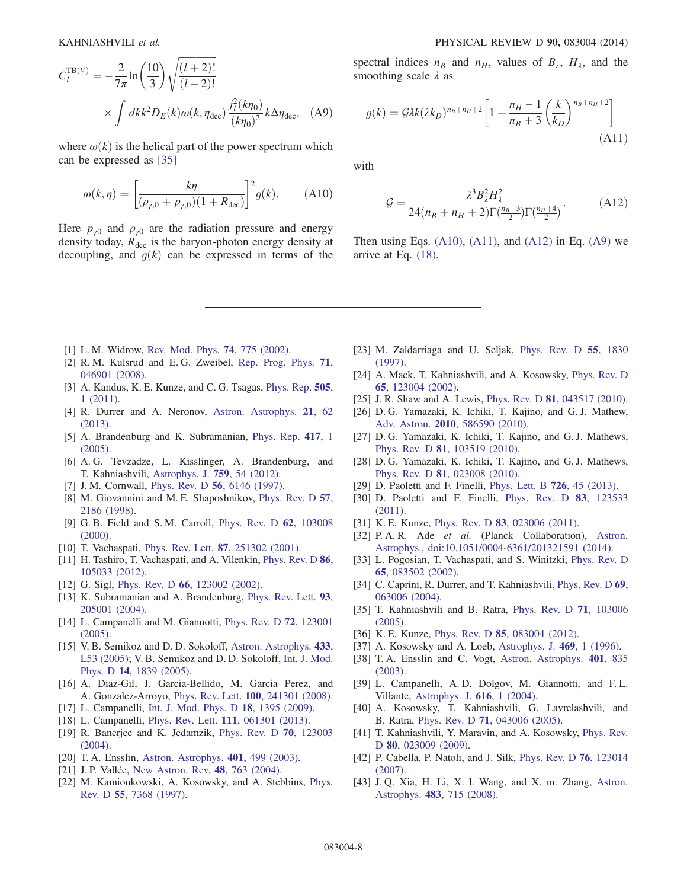$$
C_l^{\text{TB}(V)} = -\frac{2}{7\pi} \ln\left(\frac{10}{3}\right) \sqrt{\frac{(l+2)!}{(l-2)!}}
$$

$$
\times \int dk k^2 D_E(k) \omega(k, \eta_{\text{dec}}) \frac{j_l^2(k\eta_0)}{(k\eta_0)^2} k \Delta \eta_{\text{dec}}, \quad (A9)
$$

<span id="page-7-20"></span>where  $\omega(k)$  is the helical part of the power spectrum which can be expressed as [\[35\]](#page-7-15)

$$
\omega(k,\eta) = \left[\frac{k\eta}{(\rho_{\gamma,0} + \rho_{\gamma,0})(1 + R_{\text{dec}})}\right]^2 g(k).
$$
 (A10)

Here  $p_{\gamma 0}$  and  $\rho_{\gamma 0}$  are the radiation pressure and energy density today,  $R_{\text{dec}}$  is the baryon-photon energy density at decoupling, and  $g(k)$  can be expressed in terms of the

<span id="page-7-21"></span>spectral indices  $n_B$  and  $n_H$ , values of  $B_\lambda$ ,  $H_\lambda$ , and the smoothing scale  $\lambda$  as

$$
g(k) = \mathcal{G}\lambda k(\lambda k_D)^{n_B + n_H + 2} \left[ 1 + \frac{n_H - 1}{n_B + 3} \left( \frac{k}{k_D} \right)^{n_B + n_H + 2} \right]
$$
\n(A11)

<span id="page-7-22"></span>with

$$
G = \frac{\lambda^3 B_{\lambda}^2 H_{\lambda}^2}{24(n_B + n_H + 2)\Gamma(\frac{n_B + 3}{2})\Gamma(\frac{n_H + 4}{2})}.
$$
 (A12)

Then using Eqs.  $(A10)$ ,  $(A11)$ , and  $(A12)$  in Eq.  $(A9)$  we arrive at Eq. [\(18\).](#page-3-6)

- <span id="page-7-0"></span>[1] L. M. Widrow, [Rev. Mod. Phys.](http://dx.doi.org/10.1103/RevModPhys.74.775) **74**, 775 (2002).
- <span id="page-7-1"></span>[2] R. M. Kulsrud and E. G. Zweibel, [Rep. Prog. Phys.](http://dx.doi.org/10.1088/0034-4885/71/4/046901) 71, [046901 \(2008\).](http://dx.doi.org/10.1088/0034-4885/71/4/046901)
- <span id="page-7-2"></span>[3] A. Kandus, K. E. Kunze, and C. G. Tsagas, [Phys. Rep.](http://dx.doi.org/10.1016/j.physrep.2011.03.001) 505, [1 \(2011\).](http://dx.doi.org/10.1016/j.physrep.2011.03.001)
- [4] R. Durrer and A. Neronov, [Astron. Astrophys.](http://dx.doi.org/10.1007/s00159-013-0062-7) 21, 62 [\(2013\).](http://dx.doi.org/10.1007/s00159-013-0062-7)
- <span id="page-7-3"></span>[5] A. Brandenburg and K. Subramanian, [Phys. Rep.](http://dx.doi.org/10.1016/j.physrep.2005.06.005) 417, 1 [\(2005\).](http://dx.doi.org/10.1016/j.physrep.2005.06.005)
- <span id="page-7-4"></span>[6] A. G. Tevzadze, L. Kisslinger, A. Brandenburg, and T. Kahniashvili, [Astrophys. J.](http://dx.doi.org/10.1088/0004-637X/759/1/54) 759, 54 (2012).
- <span id="page-7-5"></span>[7] J. M. Cornwall, Phys. Rev. D **56**[, 6146 \(1997\).](http://dx.doi.org/10.1103/PhysRevD.56.6146)
- [8] M. Giovannini and M. E. Shaposhnikov, [Phys. Rev. D](http://dx.doi.org/10.1103/PhysRevD.57.2186) 57, [2186 \(1998\)](http://dx.doi.org/10.1103/PhysRevD.57.2186).
- [9] G. B. Field and S. M. Carroll, [Phys. Rev. D](http://dx.doi.org/10.1103/PhysRevD.62.103008) 62, 103008 [\(2000\).](http://dx.doi.org/10.1103/PhysRevD.62.103008)
- [10] T. Vachaspati, Phys. Rev. Lett. **87**[, 251302 \(2001\)](http://dx.doi.org/10.1103/PhysRevLett.87.251302).
- [11] H. Tashiro, T. Vachaspati, and A. Vilenkin, [Phys. Rev. D](http://dx.doi.org/10.1103/PhysRevD.86.105033) 86, [105033 \(2012\).](http://dx.doi.org/10.1103/PhysRevD.86.105033)
- [12] G. Sigl, Phys. Rev. D 66[, 123002 \(2002\).](http://dx.doi.org/10.1103/PhysRevD.66.123002)
- [13] K. Subramanian and A. Brandenburg, [Phys. Rev. Lett.](http://dx.doi.org/10.1103/PhysRevLett.93.205001) 93, [205001 \(2004\).](http://dx.doi.org/10.1103/PhysRevLett.93.205001)
- [14] L. Campanelli and M. Giannotti, [Phys. Rev. D](http://dx.doi.org/10.1103/PhysRevD.72.123001) 72, 123001 [\(2005\).](http://dx.doi.org/10.1103/PhysRevD.72.123001)
- [15] V. B. Semikoz and D. D. Sokoloff, [Astron. Astrophys.](http://dx.doi.org/10.1051/0004-6361:200500094) 433, [L53 \(2005\);](http://dx.doi.org/10.1051/0004-6361:200500094) V. B. Semikoz and D. D. Sokoloff, [Int. J. Mod.](http://dx.doi.org/10.1142/S0218271805007553) Phys. D 14[, 1839 \(2005\).](http://dx.doi.org/10.1142/S0218271805007553)
- [16] A. Diaz-Gil, J. Garcia-Bellido, M. Garcia Perez, and A. Gonzalez-Arroyo, Phys. Rev. Lett. 100[, 241301 \(2008\).](http://dx.doi.org/10.1103/PhysRevLett.100.241301)
- [17] L. Campanelli, [Int. J. Mod. Phys. D](http://dx.doi.org/10.1142/S0218271809015175) 18, 1395 (2009).
- [18] L. Campanelli, Phys. Rev. Lett. **111**[, 061301 \(2013\)](http://dx.doi.org/10.1103/PhysRevLett.111.061301).
- <span id="page-7-6"></span>[19] R. Banerjee and K. Jedamzik, [Phys. Rev. D](http://dx.doi.org/10.1103/PhysRevD.70.123003) 70, 123003 [\(2004\).](http://dx.doi.org/10.1103/PhysRevD.70.123003)
- <span id="page-7-7"></span>[20] T. A. Ensslin, [Astron. Astrophys.](http://dx.doi.org/10.1051/0004-6361:20030162) 401, 499 (2003).
- [21] J. P. Vallée, [New Astron. Rev.](http://dx.doi.org/10.1016/j.newar.2004.03.017) 48, 763 (2004).
- <span id="page-7-8"></span>[22] M. Kamionkowski, A. Kosowsky, and A. Stebbins, [Phys.](http://dx.doi.org/10.1103/PhysRevD.55.7368) Rev. D 55[, 7368 \(1997\).](http://dx.doi.org/10.1103/PhysRevD.55.7368)
- [23] M. Zaldarriaga and U. Seljak, [Phys. Rev. D](http://dx.doi.org/10.1103/PhysRevD.55.1830) 55, 1830 [\(1997\).](http://dx.doi.org/10.1103/PhysRevD.55.1830)
- <span id="page-7-9"></span>[24] A. Mack, T. Kahniashvili, and A. Kosowsky, [Phys. Rev. D](http://dx.doi.org/10.1103/PhysRevD.65.123004) 65[, 123004 \(2002\).](http://dx.doi.org/10.1103/PhysRevD.65.123004)
- <span id="page-7-10"></span>[25] J. R. Shaw and A. Lewis, Phys. Rev. D **81**[, 043517 \(2010\).](http://dx.doi.org/10.1103/PhysRevD.81.043517)
- [26] D. G. Yamazaki, K. Ichiki, T. Kajino, and G. J. Mathew, Adv. Astron. 2010[, 586590 \(2010\)](http://dx.doi.org/10.1155/2010/586590).
- [27] D. G. Yamazaki, K. Ichiki, T. Kajino, and G. J. Mathews, Phys. Rev. D 81[, 103519 \(2010\)](http://dx.doi.org/10.1103/PhysRevD.81.103519).
- [28] D. G. Yamazaki, K. Ichiki, T. Kajino, and G. J. Mathews, Phys. Rev. D 81[, 023008 \(2010\)](http://dx.doi.org/10.1103/PhysRevD.81.023008).
- [29] D. Paoletti and F. Finelli, [Phys. Lett. B](http://dx.doi.org/10.1016/j.physletb.2013.08.065) 726, 45 (2013).
- [30] D. Paoletti and F. Finelli, [Phys. Rev. D](http://dx.doi.org/10.1103/PhysRevD.83.123533) 83, 123533 [\(2011\).](http://dx.doi.org/10.1103/PhysRevD.83.123533)
- [31] K. E. Kunze, Phys. Rev. D **83**[, 023006 \(2011\)](http://dx.doi.org/10.1103/PhysRevD.83.023006).
- <span id="page-7-19"></span>[32] P. A. R. Ade et al. (Planck Collaboration), [Astron.](http://dx.doi.org/10.1051/0004-6361/201321591) [Astrophys., doi:10.1051/0004-6361/201321591 \(2014\).](http://dx.doi.org/10.1051/0004-6361/201321591)
- <span id="page-7-11"></span>[33] L. Pogosian, T. Vachaspati, and S. Winitzki, [Phys. Rev. D](http://dx.doi.org/10.1103/PhysRevD.65.083502) 65[, 083502 \(2002\).](http://dx.doi.org/10.1103/PhysRevD.65.083502)
- <span id="page-7-16"></span>[34] C. Caprini, R. Durrer, and T. Kahniashvili, [Phys. Rev. D](http://dx.doi.org/10.1103/PhysRevD.69.063006) 69, [063006 \(2004\).](http://dx.doi.org/10.1103/PhysRevD.69.063006)
- <span id="page-7-15"></span>[35] T. Kahniashvili and B. Ratra, [Phys. Rev. D](http://dx.doi.org/10.1103/PhysRevD.71.103006) 71, 103006 [\(2005\).](http://dx.doi.org/10.1103/PhysRevD.71.103006)
- <span id="page-7-17"></span>[36] K. E. Kunze, Phys. Rev. D **85**[, 083004 \(2012\)](http://dx.doi.org/10.1103/PhysRevD.85.083004).
- <span id="page-7-12"></span>[37] A. Kosowsky and A. Loeb, [Astrophys. J.](http://dx.doi.org/10.1086/177751) 469, 1 (1996).
- <span id="page-7-13"></span>[38] T. A. Ensslin and C. Vogt, [Astron. Astrophys.](http://dx.doi.org/10.1051/0004-6361:20030172) 401, 835 [\(2003\).](http://dx.doi.org/10.1051/0004-6361:20030172)
- [39] L. Campanelli, A. D. Dolgov, M. Giannotti, and F. L. Villante, [Astrophys. J.](http://dx.doi.org/10.1086/424840) 616, 1 (2004).
- <span id="page-7-18"></span>[40] A. Kosowsky, T. Kahniashvili, G. Lavrelashvili, and B. Ratra, Phys. Rev. D 71[, 043006 \(2005\).](http://dx.doi.org/10.1103/PhysRevD.71.043006)
- [41] T. Kahniashvili, Y. Maravin, and A. Kosowsky, [Phys. Rev.](http://dx.doi.org/10.1103/PhysRevD.80.023009) D 80[, 023009 \(2009\)](http://dx.doi.org/10.1103/PhysRevD.80.023009).
- <span id="page-7-14"></span>[42] P. Cabella, P. Natoli, and J. Silk, [Phys. Rev. D](http://dx.doi.org/10.1103/PhysRevD.76.123014) 76, 123014 [\(2007\).](http://dx.doi.org/10.1103/PhysRevD.76.123014)
- [43] J. Q. Xia, H. Li, X. l. Wang, and X. m. Zhang, [Astron.](http://dx.doi.org/10.1051/0004-6361:200809410) Astrophys. 483[, 715 \(2008\).](http://dx.doi.org/10.1051/0004-6361:200809410)